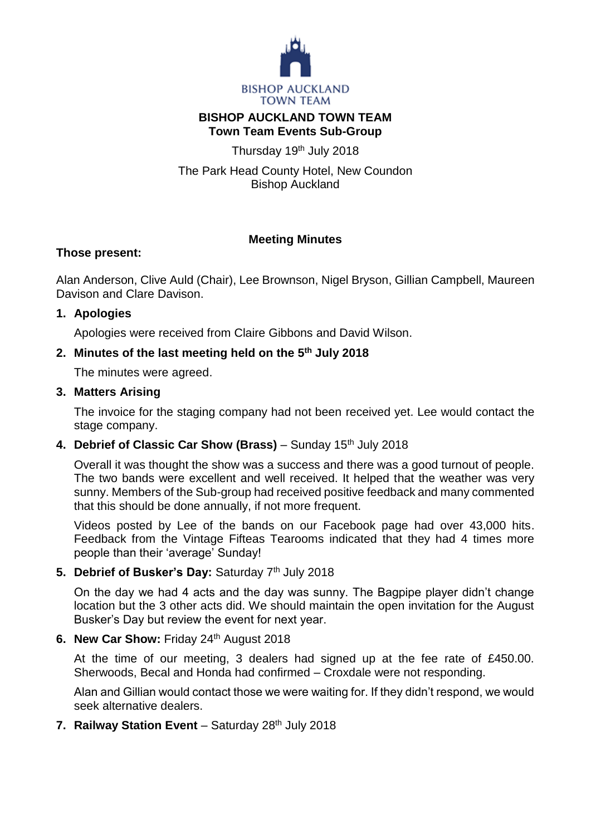

#### **BISHOP AUCKLAND TOWN TEAM Town Team Events Sub-Group**

Thursday 19<sup>th</sup> July 2018

The Park Head County Hotel, New Coundon Bishop Auckland

# **Meeting Minutes**

## **Those present:**

Alan Anderson, Clive Auld (Chair), Lee Brownson, Nigel Bryson, Gillian Campbell, Maureen Davison and Clare Davison.

## **1. Apologies**

Apologies were received from Claire Gibbons and David Wilson.

# **2. Minutes of the last meeting held on the 5 th July 2018**

The minutes were agreed.

# **3. Matters Arising**

The invoice for the staging company had not been received yet. Lee would contact the stage company.

## 4. **Debrief of Classic Car Show (Brass)** – Sunday 15<sup>th</sup> July 2018

Overall it was thought the show was a success and there was a good turnout of people. The two bands were excellent and well received. It helped that the weather was very sunny. Members of the Sub-group had received positive feedback and many commented that this should be done annually, if not more frequent.

Videos posted by Lee of the bands on our Facebook page had over 43,000 hits. Feedback from the Vintage Fifteas Tearooms indicated that they had 4 times more people than their 'average' Sunday!

## 5. **Debrief of Busker's Day: Saturday 7th July 2018**

On the day we had 4 acts and the day was sunny. The Bagpipe player didn't change location but the 3 other acts did. We should maintain the open invitation for the August Busker's Day but review the event for next year.

## **6. New Car Show:** Friday 24th August 2018

At the time of our meeting, 3 dealers had signed up at the fee rate of £450.00. Sherwoods, Becal and Honda had confirmed – Croxdale were not responding.

Alan and Gillian would contact those we were waiting for. If they didn't respond, we would seek alternative dealers.

**7. Railway Station Event** – Saturday 28<sup>th</sup> July 2018